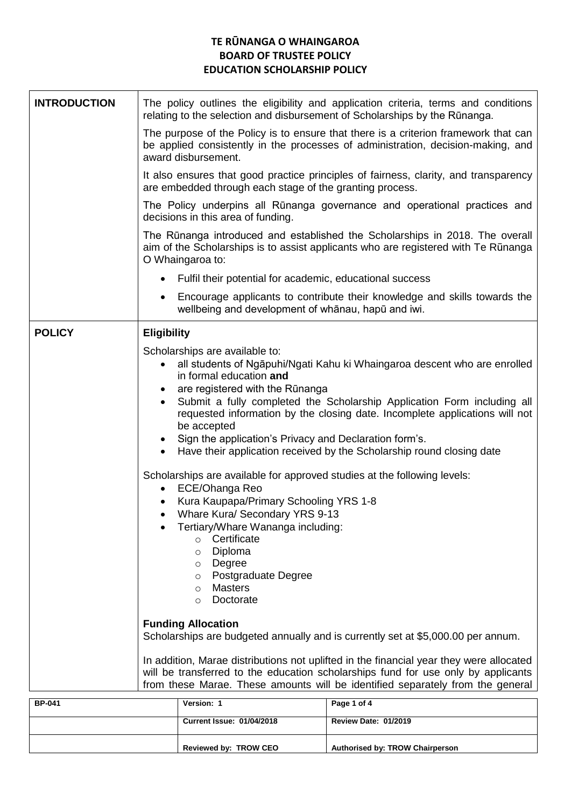## **TE RŪNANGA O WHAINGAROA BOARD OF TRUSTEE POLICY EDUCATION SCHOLARSHIP POLICY**

| <b>INTRODUCTION</b> | The policy outlines the eligibility and application criteria, terms and conditions<br>relating to the selection and disbursement of Scholarships by the Rūnanga.                                                                                                                                                                                                                                                                                                                                                                                                                                                                                                                                                                                                                                                                                                                                          |  |  |  |  |  |  |
|---------------------|-----------------------------------------------------------------------------------------------------------------------------------------------------------------------------------------------------------------------------------------------------------------------------------------------------------------------------------------------------------------------------------------------------------------------------------------------------------------------------------------------------------------------------------------------------------------------------------------------------------------------------------------------------------------------------------------------------------------------------------------------------------------------------------------------------------------------------------------------------------------------------------------------------------|--|--|--|--|--|--|
|                     | The purpose of the Policy is to ensure that there is a criterion framework that can<br>be applied consistently in the processes of administration, decision-making, and<br>award disbursement.                                                                                                                                                                                                                                                                                                                                                                                                                                                                                                                                                                                                                                                                                                            |  |  |  |  |  |  |
|                     | It also ensures that good practice principles of fairness, clarity, and transparency<br>are embedded through each stage of the granting process.                                                                                                                                                                                                                                                                                                                                                                                                                                                                                                                                                                                                                                                                                                                                                          |  |  |  |  |  |  |
|                     | The Policy underpins all Rūnanga governance and operational practices and<br>decisions in this area of funding.                                                                                                                                                                                                                                                                                                                                                                                                                                                                                                                                                                                                                                                                                                                                                                                           |  |  |  |  |  |  |
|                     | The Rūnanga introduced and established the Scholarships in 2018. The overall<br>aim of the Scholarships is to assist applicants who are registered with Te Rūnanga<br>O Whaingaroa to:                                                                                                                                                                                                                                                                                                                                                                                                                                                                                                                                                                                                                                                                                                                    |  |  |  |  |  |  |
|                     | Fulfil their potential for academic, educational success                                                                                                                                                                                                                                                                                                                                                                                                                                                                                                                                                                                                                                                                                                                                                                                                                                                  |  |  |  |  |  |  |
|                     | Encourage applicants to contribute their knowledge and skills towards the<br>wellbeing and development of whanau, hapu and iwi.                                                                                                                                                                                                                                                                                                                                                                                                                                                                                                                                                                                                                                                                                                                                                                           |  |  |  |  |  |  |
| <b>POLICY</b>       | <b>Eligibility</b>                                                                                                                                                                                                                                                                                                                                                                                                                                                                                                                                                                                                                                                                                                                                                                                                                                                                                        |  |  |  |  |  |  |
|                     | Scholarships are available to:<br>all students of Ngāpuhi/Ngati Kahu ki Whaingaroa descent who are enrolled<br>$\bullet$<br>in formal education and<br>are registered with the Rūnanga<br>Submit a fully completed the Scholarship Application Form including all<br>$\bullet$<br>requested information by the closing date. Incomplete applications will not<br>be accepted<br>Sign the application's Privacy and Declaration form's.<br>$\bullet$<br>Have their application received by the Scholarship round closing date<br>$\bullet$<br>Scholarships are available for approved studies at the following levels:<br>ECE/Ohanga Reo<br>Kura Kaupapa/Primary Schooling YRS 1-8<br>Whare Kura/ Secondary YRS 9-13<br>$\bullet$<br>Tertiary/Whare Wananga including:<br>Certificate<br>$\circ$<br>Diploma<br>$\circ$<br>Degree<br>$\circ$<br>Postgraduate Degree<br>$\circ$<br><b>Masters</b><br>$\circ$ |  |  |  |  |  |  |
|                     | <b>Funding Allocation</b><br>Scholarships are budgeted annually and is currently set at \$5,000.00 per annum.                                                                                                                                                                                                                                                                                                                                                                                                                                                                                                                                                                                                                                                                                                                                                                                             |  |  |  |  |  |  |
|                     | In addition, Marae distributions not uplifted in the financial year they were allocated<br>will be transferred to the education scholarships fund for use only by applicants<br>from these Marae. These amounts will be identified separately from the general                                                                                                                                                                                                                                                                                                                                                                                                                                                                                                                                                                                                                                            |  |  |  |  |  |  |
| <b>BP-041</b>       | Page 1 of 4<br>Version: 1                                                                                                                                                                                                                                                                                                                                                                                                                                                                                                                                                                                                                                                                                                                                                                                                                                                                                 |  |  |  |  |  |  |

| <b>BP-041</b> | Version: 1                       | Page 1 of 4                     |
|---------------|----------------------------------|---------------------------------|
|               | <b>Current Issue: 01/04/2018</b> | <b>Review Date: 01/2019</b>     |
|               | Reviewed by: TROW CEO            | Authorised by: TROW Chairperson |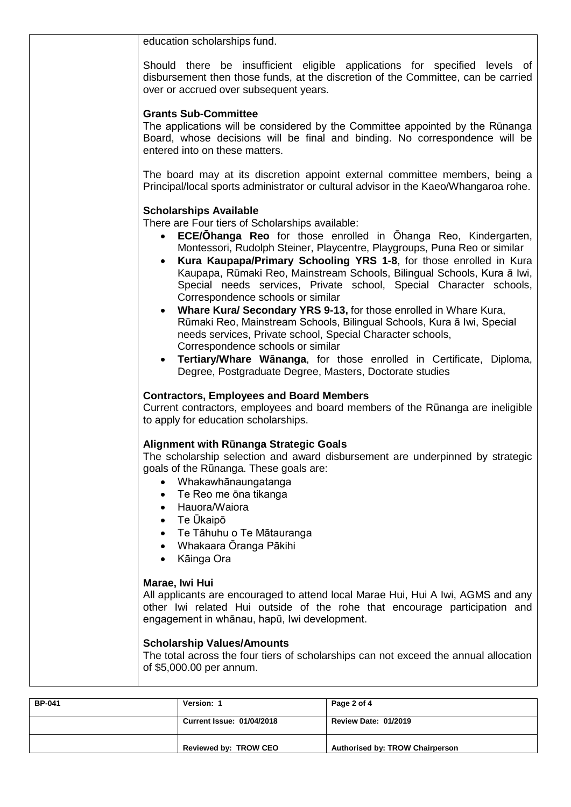| education scholarships fund.                                                                                                                                                                                                                                                                                                                                                                                                                                                                                                                                                                                                                                                                                                                                                                                                                                                                               |
|------------------------------------------------------------------------------------------------------------------------------------------------------------------------------------------------------------------------------------------------------------------------------------------------------------------------------------------------------------------------------------------------------------------------------------------------------------------------------------------------------------------------------------------------------------------------------------------------------------------------------------------------------------------------------------------------------------------------------------------------------------------------------------------------------------------------------------------------------------------------------------------------------------|
| Should there be insufficient eligible applications for specified levels of<br>disbursement then those funds, at the discretion of the Committee, can be carried<br>over or accrued over subsequent years.                                                                                                                                                                                                                                                                                                                                                                                                                                                                                                                                                                                                                                                                                                  |
| <b>Grants Sub-Committee</b><br>The applications will be considered by the Committee appointed by the Rūnanga<br>Board, whose decisions will be final and binding. No correspondence will be<br>entered into on these matters.                                                                                                                                                                                                                                                                                                                                                                                                                                                                                                                                                                                                                                                                              |
| The board may at its discretion appoint external committee members, being a<br>Principal/local sports administrator or cultural advisor in the Kaeo/Whangaroa rohe.                                                                                                                                                                                                                                                                                                                                                                                                                                                                                                                                                                                                                                                                                                                                        |
| <b>Scholarships Available</b><br>There are Four tiers of Scholarships available:<br>ECE/Ohanga Reo for those enrolled in Ohanga Reo, Kindergarten,<br>$\bullet$<br>Montessori, Rudolph Steiner, Playcentre, Playgroups, Puna Reo or similar<br>Kura Kaupapa/Primary Schooling YRS 1-8, for those enrolled in Kura<br>Kaupapa, Rūmaki Reo, Mainstream Schools, Bilingual Schools, Kura ā Iwi,<br>Special needs services, Private school, Special Character schools,<br>Correspondence schools or similar<br>• Whare Kural Secondary YRS 9-13, for those enrolled in Whare Kura,<br>Rūmaki Reo, Mainstream Schools, Bilingual Schools, Kura ā Iwi, Special<br>needs services, Private school, Special Character schools,<br>Correspondence schools or similar<br>Tertiary/Whare Wānanga, for those enrolled in Certificate, Diploma,<br>$\bullet$<br>Degree, Postgraduate Degree, Masters, Doctorate studies |
| <b>Contractors, Employees and Board Members</b><br>Current contractors, employees and board members of the Rūnanga are ineligible<br>to apply for education scholarships.                                                                                                                                                                                                                                                                                                                                                                                                                                                                                                                                                                                                                                                                                                                                  |
| Alignment with Rūnanga Strategic Goals<br>The scholarship selection and award disbursement are underpinned by strategic<br>goals of the Rūnanga. These goals are:<br>Whakawhānaungatanga<br>Te Reo me ōna tikanga<br>$\bullet$<br>• Hauora/Waiora<br>• Te Ūkaipō<br>Te Tāhuhu o Te Mātauranga<br>$\bullet$<br>Whakaara Oranga Pākihi<br>$\bullet$<br>Kāinga Ora<br>$\bullet$                                                                                                                                                                                                                                                                                                                                                                                                                                                                                                                               |
| Marae, Iwi Hui<br>All applicants are encouraged to attend local Marae Hui, Hui A Iwi, AGMS and any<br>other Iwi related Hui outside of the rohe that encourage participation and<br>engagement in whānau, hapū, Iwi development.                                                                                                                                                                                                                                                                                                                                                                                                                                                                                                                                                                                                                                                                           |
| <b>Scholarship Values/Amounts</b><br>The total across the four tiers of scholarships can not exceed the annual allocation<br>of \$5,000.00 per annum.                                                                                                                                                                                                                                                                                                                                                                                                                                                                                                                                                                                                                                                                                                                                                      |

| <b>BP-041</b> | Version: 1                       | Page 2 of 4                            |  |
|---------------|----------------------------------|----------------------------------------|--|
|               | <b>Current Issue: 01/04/2018</b> | <b>Review Date: 01/2019</b>            |  |
|               | Reviewed by: TROW CEO            | <b>Authorised by: TROW Chairperson</b> |  |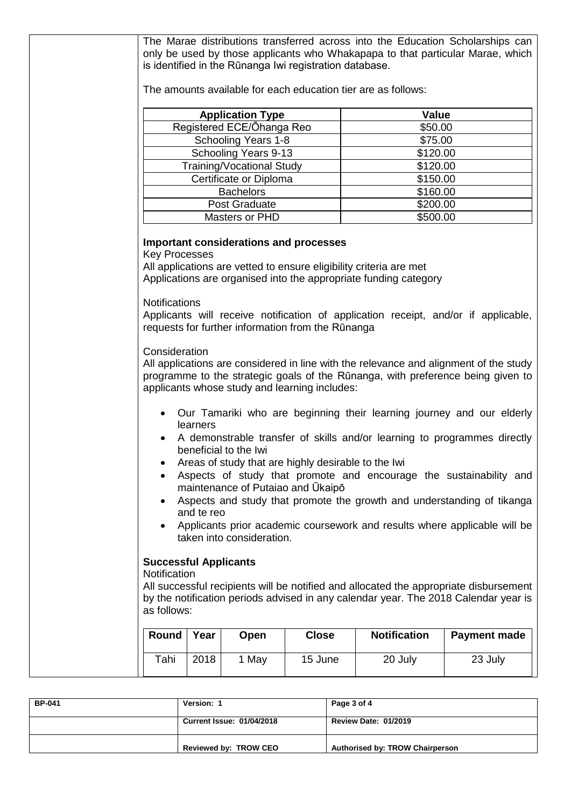| The Marae distributions transferred across into the Education Scholarships can<br>only be used by those applicants who Whakapapa to that particular Marae, which<br>is identified in the Rūnanga Iwi registration database.                     |      |                                  |              |                     |                     |  |  |
|-------------------------------------------------------------------------------------------------------------------------------------------------------------------------------------------------------------------------------------------------|------|----------------------------------|--------------|---------------------|---------------------|--|--|
| The amounts available for each education tier are as follows:                                                                                                                                                                                   |      |                                  |              |                     |                     |  |  |
| Value<br><b>Application Type</b>                                                                                                                                                                                                                |      |                                  |              |                     |                     |  |  |
| Registered ECE/Ohanga Reo<br>\$50.00                                                                                                                                                                                                            |      |                                  |              |                     |                     |  |  |
| Schooling Years 1-8<br>\$75.00                                                                                                                                                                                                                  |      |                                  |              |                     |                     |  |  |
|                                                                                                                                                                                                                                                 |      | Schooling Years 9-13             |              | \$120.00            |                     |  |  |
|                                                                                                                                                                                                                                                 |      | <b>Training/Vocational Study</b> |              | \$120.00            |                     |  |  |
|                                                                                                                                                                                                                                                 |      | Certificate or Diploma           |              | \$150.00            |                     |  |  |
|                                                                                                                                                                                                                                                 |      | <b>Bachelors</b>                 |              | \$160.00            |                     |  |  |
|                                                                                                                                                                                                                                                 |      | Post Graduate                    |              | \$200.00            |                     |  |  |
|                                                                                                                                                                                                                                                 |      | Masters or PHD                   |              | \$500.00            |                     |  |  |
| <b>Key Processes</b><br>All applications are vetted to ensure eligibility criteria are met<br>Applications are organised into the appropriate funding category<br><b>Notifications</b>                                                          |      |                                  |              |                     |                     |  |  |
| Applicants will receive notification of application receipt, and/or if applicable,<br>requests for further information from the Rūnanga<br>Consideration                                                                                        |      |                                  |              |                     |                     |  |  |
| All applications are considered in line with the relevance and alignment of the study<br>programme to the strategic goals of the Rūnanga, with preference being given to<br>applicants whose study and learning includes:                       |      |                                  |              |                     |                     |  |  |
| • Our Tamariki who are beginning their learning journey and our elderly<br>learners<br>A demonstrable transfer of skills and/or learning to programmes directly<br>beneficial to the Iwi<br>Areas of study that are highly desirable to the Iwi |      |                                  |              |                     |                     |  |  |
| Aspects of study that promote and encourage the sustainability and                                                                                                                                                                              |      |                                  |              |                     |                     |  |  |
| maintenance of Putaiao and Ukaipo                                                                                                                                                                                                               |      |                                  |              |                     |                     |  |  |
| Aspects and study that promote the growth and understanding of tikanga                                                                                                                                                                          |      |                                  |              |                     |                     |  |  |
| and te reo                                                                                                                                                                                                                                      |      |                                  |              |                     |                     |  |  |
| Applicants prior academic coursework and results where applicable will be<br>taken into consideration.                                                                                                                                          |      |                                  |              |                     |                     |  |  |
| <b>Successful Applicants</b><br>Notification<br>All successful recipients will be notified and allocated the appropriate disbursement<br>by the notification periods advised in any calendar year. The 2018 Calendar year is<br>as follows:     |      |                                  |              |                     |                     |  |  |
| Round                                                                                                                                                                                                                                           | Year | Open                             | <b>Close</b> | <b>Notification</b> | <b>Payment made</b> |  |  |
| Tahi                                                                                                                                                                                                                                            | 2018 | 1 May                            | 15 June      | 20 July             | 23 July             |  |  |
|                                                                                                                                                                                                                                                 |      |                                  |              |                     |                     |  |  |

| <b>BP-041</b> | Version: 1                       | Page 3 of 4                            |  |
|---------------|----------------------------------|----------------------------------------|--|
|               | <b>Current Issue: 01/04/2018</b> | <b>Review Date: 01/2019</b>            |  |
|               | Reviewed by: TROW CEO            | <b>Authorised by: TROW Chairperson</b> |  |